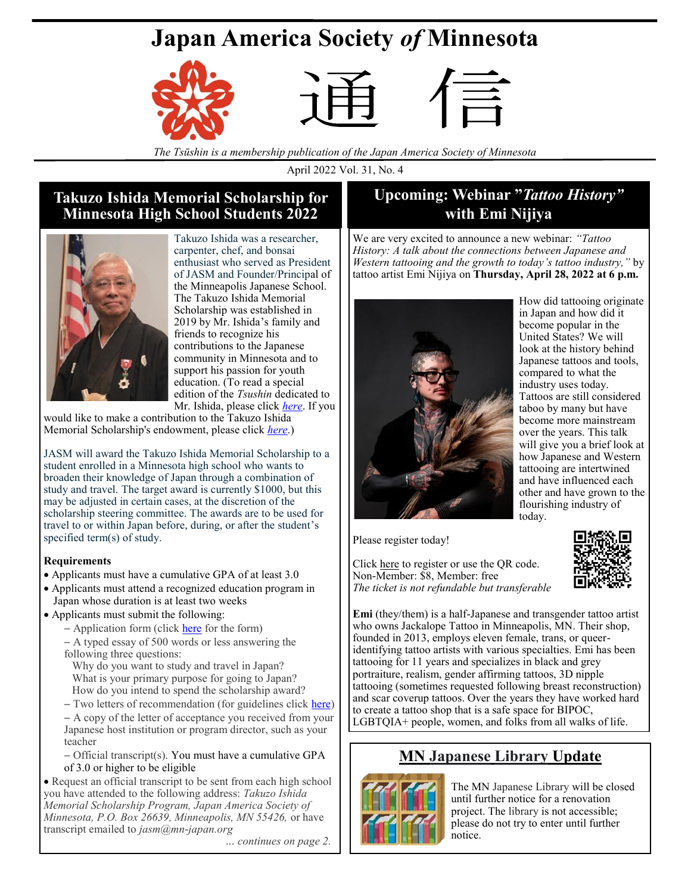# **Japan America Society** *of* **Minnesota**







*The Tsūshin is a membership publication of the Japan America Society of Minnesota*

April 2022 Vol. 31, No. 4

## **Takuzo Ishida Memorial Scholarship for Minnesota High School Students 2022**



Takuzo Ishida was a researcher, carpenter, chef, and bonsai enthusiast who served as President of JASM and Founder/Principal of the Minneapolis Japanese School. The Takuzo Ishida Memorial Scholarship was established in 2019 by Mr. Ishida's family and friends to recognize his contributions to the Japanese community in Minnesota and to support his passion for youth education. (To read a special edition of the *Tsushin* dedicated to Mr. Ishida, please click *[here](https://japanamericasocietyofminnesota.wildapricot.org/resources/Documents/Tsushin/Tsushin%202019/Special%20Tsushin%20to%20Commemorate%20Mr.%20Takuzo%20Ishida.pdf)*. If you

would like to make a contribution to the Takuzo Ishida Memorial Scholarship's endowment, please click *[here](https://japanamericasocietyofminnesota.wildapricot.org/Donation-page-for-Takuzo-Ishida-Memorial-Scholarship)*.)

JASM will award the Takuzo Ishida Memorial Scholarship to a student enrolled in a Minnesota high school who wants to broaden their knowledge of Japan through a combination of study and travel. The target award is currently \$1000, but this may be adjusted in certain cases, at the discretion of the scholarship steering committee. The awards are to be used for travel to or within Japan before, during, or after the student's specified term(s) of study.

### **Requirements**

- Applicants must have a cumulative GPA of at least 3.0
- Applicants must attend a recognized education program in Japan whose duration is at least two weeks

### • Applicants must submit the following:

- − Application form (click [here](https://docs.google.com/forms/d/e/1FAIpQLScXI1zpmEhnvG9xbLNegG20fEM53HRXdcbIyjS_kG0qZyJijA/viewform?usp=sf_link) for the form)
- − A typed essay of 500 words or less answering the following three questions:
- Why do you want to study and travel in Japan? What is your primary purpose for going to Japan? How do you intend to spend the scholarship award?
- − Two letters of recommendation (for guidelines click [here\)](https://japanamericasocietyofminnesota.wildapricot.org/resources/Documents/Ishida%20Memorial%20Fund/Ishida%20Scholarship%20Recommendation%20Form.pdf)
- − A copy of the letter of acceptance you received from your Japanese host institution or program director, such as your teacher

− Official transcript(s). You must have a cumulative GPA of 3.0 or higher to be eligible

• Request an official transcript to be sent from each high school you have attended to the following address: *Takuzo Ishida Memorial Scholarship Program, Japan America Society of Minnesota, P.O. Box 26639, Minneapolis, MN 55426,* or have transcript emailed to *jasm@mn-japan.org*

*… continues on page 2.*

# **Upcoming: Webinar "***Tattoo History"*  **with Emi Nijiya**

We are very excited to announce a new webinar: *"Tattoo History: A talk about the connections between Japanese and Western tattooing and the growth to today's tattoo industry,"* by tattoo artist Emi Nijiya on **Thursday, April 28, 2022 at 6 p.m.**



How did tattooing originate in Japan and how did it become popular in the United States? We will look at the history behind Japanese tattoos and tools, compared to what the industry uses today. Tattoos are still considered taboo by many but have become more mainstream over the years. This talk will give you a brief look at how Japanese and Western tattooing are intertwined and have influenced each other and have grown to the flourishing industry of today.

Please register today!

Click [here](https://japanamericasocietyofminnesota.wildapricot.org/event-4755485) to register or use the QR code. Non-Member: \$8, Member: free *The ticket is not refundable but transferable*



**Emi** (they/them) is a half-Japanese and transgender tattoo artist who owns Jackalope Tattoo in Minneapolis, MN. Their shop, founded in 2013, employs eleven female, trans, or queeridentifying tattoo artists with various specialties. Emi has been tattooing for 11 years and specializes in black and grey portraiture, realism, gender affirming tattoos, 3D nipple tattooing (sometimes requested following breast reconstruction) and scar coverup tattoos. Over the years they have worked hard to create a tattoo shop that is a safe space for BIPOC, LGBTQIA+ people, women, and folks from all walks of life.

# **MN Japanese Library Update**



The MN Japanese Library will be closed until further notice for a renovation project. The library is not accessible; please do not try to enter until further notice.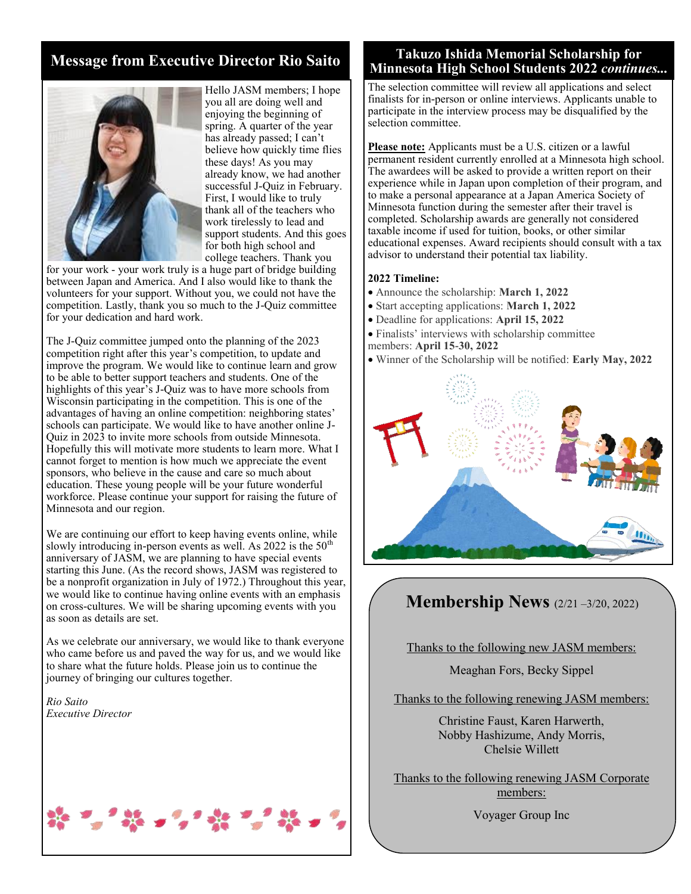# **Message from Executive Director Rio Saito**



Hello JASM members; I hope you all are doing well and enjoying the beginning of spring. A quarter of the year has already passed; I can't believe how quickly time flies these days! As you may already know, we had another successful J-Quiz in February. First, I would like to truly thank all of the teachers who work tirelessly to lead and support students. And this goes for both high school and college teachers. Thank you

for your work - your work truly is a huge part of bridge building between Japan and America. And I also would like to thank the volunteers for your support. Without you, we could not have the competition. Lastly, thank you so much to the J-Quiz committee for your dedication and hard work.

The J-Quiz committee jumped onto the planning of the 2023 competition right after this year's competition, to update and improve the program. We would like to continue learn and grow to be able to better support teachers and students. One of the highlights of this year's J-Quiz was to have more schools from Wisconsin participating in the competition. This is one of the advantages of having an online competition: neighboring states' schools can participate. We would like to have another online J-Quiz in 2023 to invite more schools from outside Minnesota. Hopefully this will motivate more students to learn more. What I cannot forget to mention is how much we appreciate the event sponsors, who believe in the cause and care so much about education. These young people will be your future wonderful workforce. Please continue your support for raising the future of Minnesota and our region.

We are continuing our effort to keep having events online, while slowly introducing in-person events as well. As  $2022$  is the  $50<sup>th</sup>$ anniversary of JASM, we are planning to have special events starting this June. (As the record shows, JASM was registered to be a nonprofit organization in July of 1972.) Throughout this year, we would like to continue having online events with an emphasis on cross-cultures. We will be sharing upcoming events with you as soon as details are set.

As we celebrate our anniversary, we would like to thank everyone who came before us and paved the way for us, and we would like to share what the future holds. Please join us to continue the journey of bringing our cultures together.

*Rio Saito Executive Director*

### **Takuzo Ishida Memorial Scholarship for Minnesota High School Students 2022** *continues...*

The selection committee will review all applications and select finalists for in-person or online interviews. Applicants unable to participate in the interview process may be disqualified by the selection committee.

**Please note:** Applicants must be a U.S. citizen or a lawful permanent resident currently enrolled at a Minnesota high school. The awardees will be asked to provide a written report on their experience while in Japan upon completion of their program, and to make a personal appearance at a Japan America Society of Minnesota function during the semester after their travel is completed. Scholarship awards are generally not considered taxable income if used for tuition, books, or other similar educational expenses. Award recipients should consult with a tax advisor to understand their potential tax liability.

### **2022 Timeline:**

- Announce the scholarship: **March 1, 2022**
- Start accepting applications: **March 1, 2022**
- Deadline for applications: **April 15, 2022**
- Finalists' interviews with scholarship committee members: **April 15-30, 2022**
- Winner of the Scholarship will be notified: **Early May, 2022**



# **Membership News** (2/21 –3/20, 2022)

Thanks to the following new JASM members:

Meaghan Fors, Becky Sippel

Thanks to the following renewing JASM members:

Christine Faust, Karen Harwerth, Nobby Hashizume, Andy Morris, Chelsie Willett

Thanks to the following renewing JASM Corporate members:

Voyager Group Inc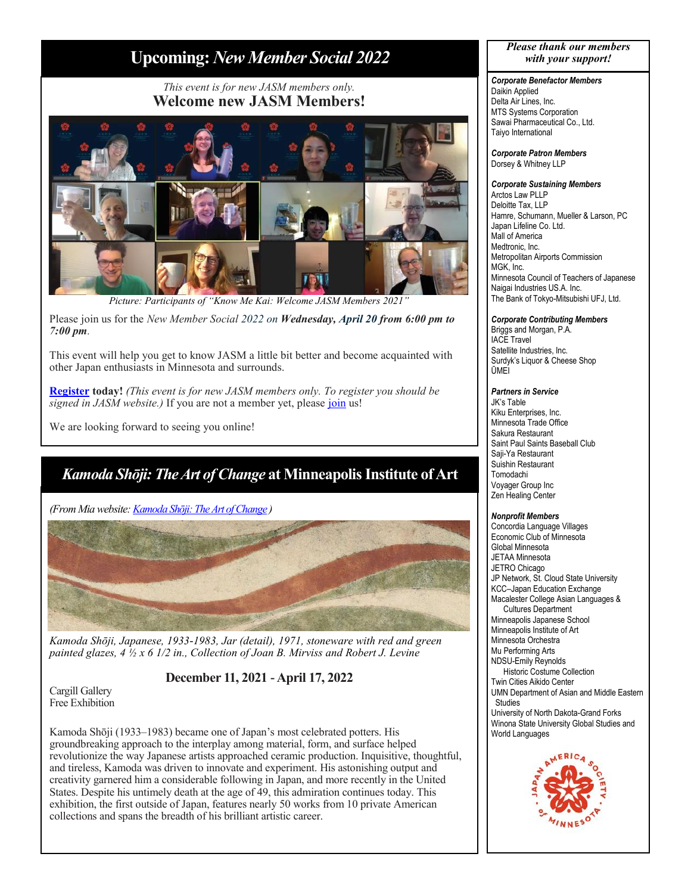# **Upcoming:** *New Member Social 2022*

### *This event is for new JASM members only.* **Welcome new JASM Members!**



Picture: Participants of "Know Me Kai: Welcome JASM Members 2021

Please join us for the *New Member Social 2022 on Wednesday, April 20 from 6:00 pm to 7:00 pm.*

This event will help you get to know JASM a little bit better and become acquainted with other Japan enthusiasts in Minnesota and surrounds.

**[Register](https://japanamericasocietyofminnesota.wildapricot.org/event-4752386) today!** *(This event is for new JASM members only. To register you should be signed in JASM website.*) If you are not a member yet, please [join](https://japanamericasocietyofminnesota.wildapricot.org/Join-JASM) us!

We are looking forward to seeing you online!

# *Kamoda Shōji: The Art of Change* **at Minneapolis Institute of Art**

*(From Mia website: [Kamoda Shōji: The Art of Change](https://new.artsmia.org/exhibition/kamoda-shoji-the-art-of-change) )*



*Kamoda Shōji, Japanese, 1933-1983, Jar (detail), 1971, stoneware with red and green painted glazes, 4 ½ x 6 1/2 in., Collection of Joan B. Mirviss and Robert J. Levine* 

**December 11, 2021 -April 17, 2022**

Cargill Gallery Free Exhibition

Kamoda Shōji (1933–1983) became one of Japan's most celebrated potters. His groundbreaking approach to the interplay among material, form, and surface helped revolutionize the way Japanese artists approached ceramic production. Inquisitive, thoughtful, and tireless, Kamoda was driven to innovate and experiment. His astonishing output and creativity garnered him a considerable following in Japan, and more recently in the United States. Despite his untimely death at the age of 49, this admiration continues today. This exhibition, the first outside of Japan, features nearly 50 works from 10 private American collections and spans the breadth of his brilliant artistic career.

#### *Please thank our members with your support!*

### *Corporate Benefactor Members*

Daikin Applied Delta Air Lines, Inc. MTS Systems Corporation Sawai Pharmaceutical Co., Ltd. Taiyo International

*Corporate Patron Members*  Dorsey & Whitney LLP

### *Corporate Sustaining Members*

Arctos Law PLLP Deloitte Tax, LLP Hamre, Schumann, Mueller & Larson, PC Japan Lifeline Co. Ltd. Mall of America Medtronic, Inc. Metropolitan Airports Commission MGK, Inc. Minnesota Council of Teachers of Japanese Naigai Industries US.A. Inc. The Bank of Tokyo-Mitsubishi UFJ, Ltd.

#### *Corporate Contributing Members*

Briggs and Morgan, P.A. IACE Travel Satellite Industries, Inc. Surdyk's Liquor & Cheese Shop ŪMEI

#### *Partners in Service*

JK's Table Kiku Enterprises, Inc. Minnesota Trade Office Sakura Restaurant Saint Paul Saints Baseball Club Saji-Ya Restaurant Suishin Restaurant Tomodachi Voyager Group Inc Zen Healing Center

#### *Nonprofit Members*

Concordia Language Villages Economic Club of Minnesota Global Minnesota JETAA Minnesota JETRO Chicago JP Network, St. Cloud State University KCC–Japan Education Exchange Macalester College Asian Languages & Cultures Department Minneapolis Japanese School Minneapolis Institute of Art Minnesota Orchestra Mu Performing Arts NDSU-Emily Reynolds Historic Costume Collection Twin Cities Aikido Center UMN Department of Asian and Middle Eastern Studies University of North Dakota-Grand Forks Winona State University Global Studies and World Languages

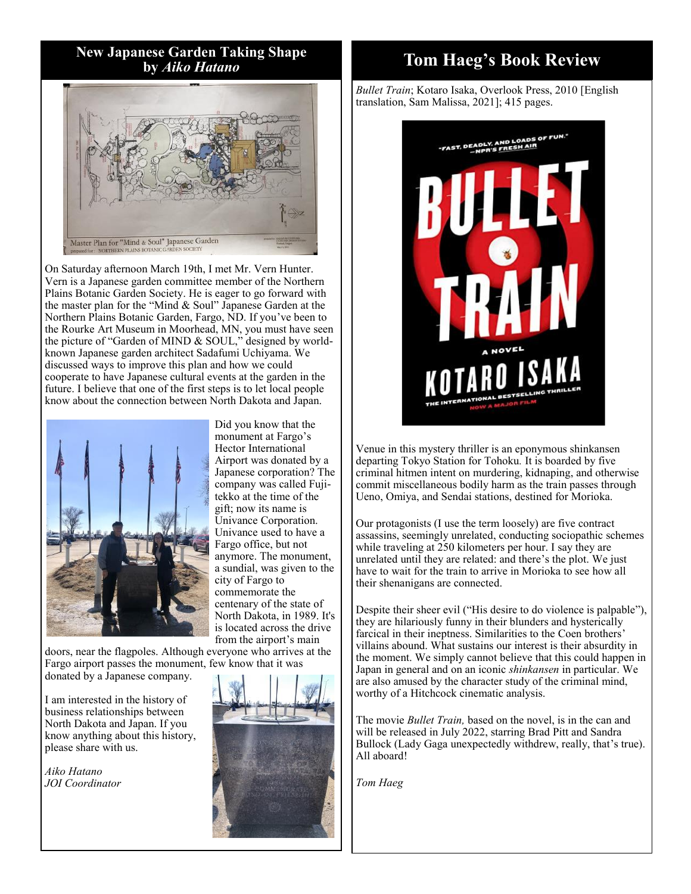**New Japanese Garden Taking Shape by** *Aiko Hatano*



On Saturday afternoon March 19th, I met Mr. Vern Hunter. Vern is a Japanese garden committee member of the Northern Plains Botanic Garden Society. He is eager to go forward with the master plan for the "Mind & Soul" Japanese Garden at the Northern Plains Botanic Garden, Fargo, ND. If you've been to the Rourke Art Museum in Moorhead, MN, you must have seen the picture of "Garden of MIND & SOUL," designed by worldknown Japanese garden architect Sadafumi Uchiyama. We discussed ways to improve this plan and how we could cooperate to have Japanese cultural events at the garden in the future. I believe that one of the first steps is to let local people know about the connection between North Dakota and Japan.



Did you know that the monument at Fargo's Hector International Airport was donated by a Japanese corporation? The company was called Fujitekko at the time of the gift; now its name is Univance Corporation. Univance used to have a Fargo office, but not anymore. The monument, a sundial, was given to the city of Fargo to commemorate the centenary of the state of North Dakota, in 1989. It's is located across the drive from the airport's main

doors, near the flagpoles. Although everyone who arrives at the Fargo airport passes the monument, few know that it was donated by a Japanese company.

I am interested in the history of business relationships between North Dakota and Japan. If you know anything about this history, please share with us.

*Aiko Hatano JOI Coordinator*



# **Tom Haeg's Book Review**

*Bullet Train*; Kotaro Isaka, Overlook Press, 2010 [English translation, Sam Malissa, 2021]; 415 pages.



Venue in this mystery thriller is an eponymous shinkansen departing Tokyo Station for Tohoku*.* It is boarded by five criminal hitmen intent on murdering, kidnaping, and otherwise commit miscellaneous bodily harm as the train passes through Ueno, Omiya, and Sendai stations, destined for Morioka.

Our protagonists (I use the term loosely) are five contract assassins, seemingly unrelated, conducting sociopathic schemes while traveling at 250 kilometers per hour. I say they are unrelated until they are related: and there's the plot. We just have to wait for the train to arrive in Morioka to see how all their shenanigans are connected.

Despite their sheer evil ("His desire to do violence is palpable"), they are hilariously funny in their blunders and hysterically farcical in their ineptness. Similarities to the Coen brothers' villains abound. What sustains our interest is their absurdity in the moment. We simply cannot believe that this could happen in Japan in general and on an iconic *shinkansen* in particular. We are also amused by the character study of the criminal mind, worthy of a Hitchcock cinematic analysis.

The movie *Bullet Train,* based on the novel, is in the can and will be released in July 2022, starring Brad Pitt and Sandra Bullock (Lady Gaga unexpectedly withdrew, really, that's true). All aboard!

*Tom Haeg*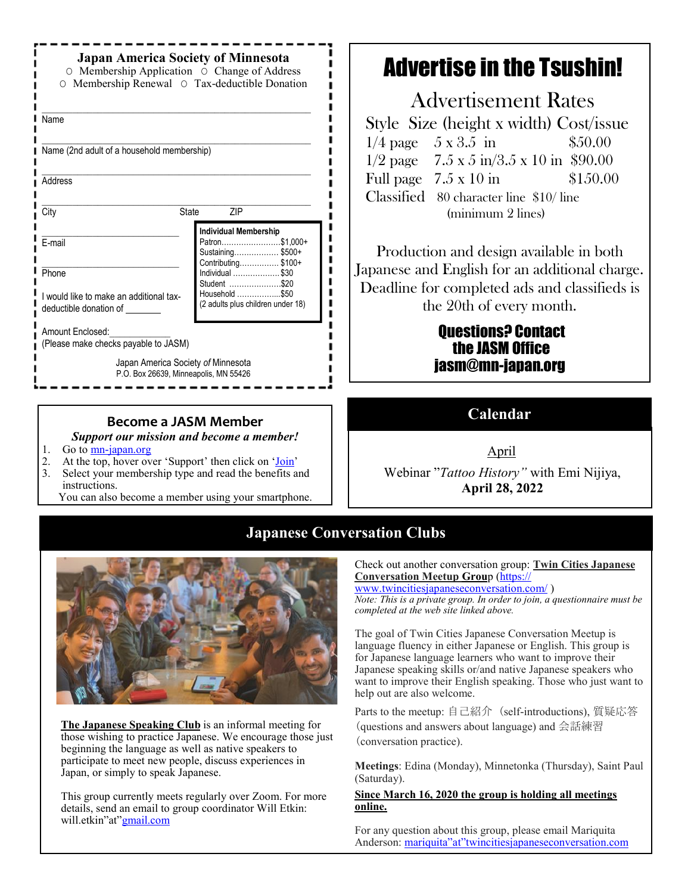| <b>Japan America Society of Minnesota</b><br>O Membership Application O Change of Address<br>O Membership Renewal O Tax-deductible Donation |                                                                                          |
|---------------------------------------------------------------------------------------------------------------------------------------------|------------------------------------------------------------------------------------------|
| Name                                                                                                                                        |                                                                                          |
| Name (2nd adult of a household membership)                                                                                                  |                                                                                          |
| Address                                                                                                                                     |                                                                                          |
| City<br><b>State</b>                                                                                                                        | ZIP                                                                                      |
| E-mail                                                                                                                                      | <b>Individual Membership</b><br>Patron\$1,000+<br>Sustaining\$500+<br>Contributing\$100+ |
|                                                                                                                                             |                                                                                          |
| Phone                                                                                                                                       | Individual \$30                                                                          |
| I would like to make an additional tax-<br>deductible donation of                                                                           | Student \$20<br>Household \$50<br>(2 adults plus children under 18)                      |
| Amount Enclosed:<br>(Please make checks payable to JASM)                                                                                    |                                                                                          |

### **Become a JASM Member**

*Support our mission and become a member!*

- 1. Go to  $\overline{\text{mn-japan.org}}$
- 2. At the top, hover over 'Support' then click on ['Join'](https://japanamericasocietyofminnesota.wildapricot.org/Join-JASM)
- 3. Select your membership type and read the benefits and instructions.

You can also become a member using your smartphone.

# Advertise in the Tsushin!

Advertisement Rates Style Size (height x width) Cost/issue  $1/4$  page  $5 \times 3.5$  in  $$50.00$  $1/2$  page 7.5 x 5 in/3.5 x 10 in \$90.00 Full page  $7.5 \times 10 \text{ in}$  \$150.00 Classified 80 character line \$10/ line (minimum 2 lines)

Production and design available in both Japanese and English for an additional charge. Deadline for completed ads and classifieds is the 20th of every month.

## Questions? Contact the JASM Office jasm@mn-japan.org

**Calendar**

April

Webinar "*Tattoo History"* with Emi Nijiya, **April 28, 2022**

# **Japanese Conversation Clubs**



**The Japanese Speaking Club** is an informal meeting for those wishing to practice Japanese. We encourage those just beginning the language as well as native speakers to participate to meet new people, discuss experiences in Japan, or simply to speak Japanese.

This group currently meets regularly over Zoom. For more details, send an email to group coordinator Will Etkin: will.etkin"at"[gmail.com](http://gmail.com/)

Check out another conversation group: **Twin Cities Japanese Conversation Meetup Grou**p [\(https://](https://www.twincitiesjapaneseconversation.com/)

[www.twincitiesjapaneseconversation.com/](https://www.twincitiesjapaneseconversation.com/) ) *Note: This is a private group. In order to join, a questionnaire must be completed at the web site linked above.*

The goal of Twin Cities Japanese Conversation Meetup is language fluency in either Japanese or English. This group is for Japanese language learners who want to improve their Japanese speaking skills or/and native Japanese speakers who want to improve their English speaking. Those who just want to help out are also welcome.

Parts to the meetup: 自己紹介 (self-introductions), 質疑応答 (questions and answers about language) and 会話練習 (conversation practice).

**Meetings**: Edina (Monday), Minnetonka (Thursday), Saint Paul (Saturday).

### **Since March 16, 2020 the group is holding all meetings online.**

For any question about this group, please email Mariquita Anderson: [mariquita"at"twincitiesjapaneseconversation.com](mailto:mariquita@twincitiesjapaneseconversation.com)